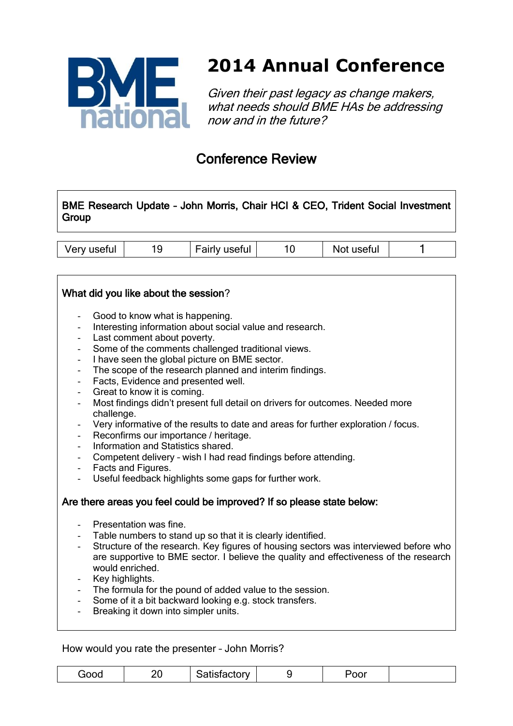

## **2014 Annual Conference**

Given their past legacy as change makers, what needs should BME HAs be addressing now and in the future?

### Conference Review

BME Research Update – John Morris, Chair HCI & CEO, Trident Social Investment Group

| Very useful<br>تناسلت المستحد<br><b>Fairly useful</b><br>usetul<br>NOT |  |  |
|------------------------------------------------------------------------|--|--|
|------------------------------------------------------------------------|--|--|

#### What did you like about the session?

- Good to know what is happening.
- Interesting information about social value and research.
- Last comment about poverty.
- Some of the comments challenged traditional views.
- I have seen the global picture on BME sector.
- The scope of the research planned and interim findings.
- Facts, Evidence and presented well.
- Great to know it is coming.
- Most findings didn't present full detail on drivers for outcomes. Needed more challenge.
- Very informative of the results to date and areas for further exploration / focus.
- Reconfirms our importance / heritage.
- Information and Statistics shared.
- Competent delivery wish I had read findings before attending.
- Facts and Figures.
- Useful feedback highlights some gaps for further work.

#### Are there areas you feel could be improved? If so please state below:

- Presentation was fine.
- Table numbers to stand up so that it is clearly identified.
- Structure of the research. Key figures of housing sectors was interviewed before who are supportive to BME sector. I believe the quality and effectiveness of the research would enriched.
- Key highlights.
- The formula for the pound of added value to the session.
- Some of it a bit backward looking e.g. stock transfers.
- Breaking it down into simpler units.

How would you rate the presenter – John Morris?

| ⊶oo⊂<br>IUUL | ١ſ<br>∠∪ | .ctory |  | vv. |  |
|--------------|----------|--------|--|-----|--|
|--------------|----------|--------|--|-----|--|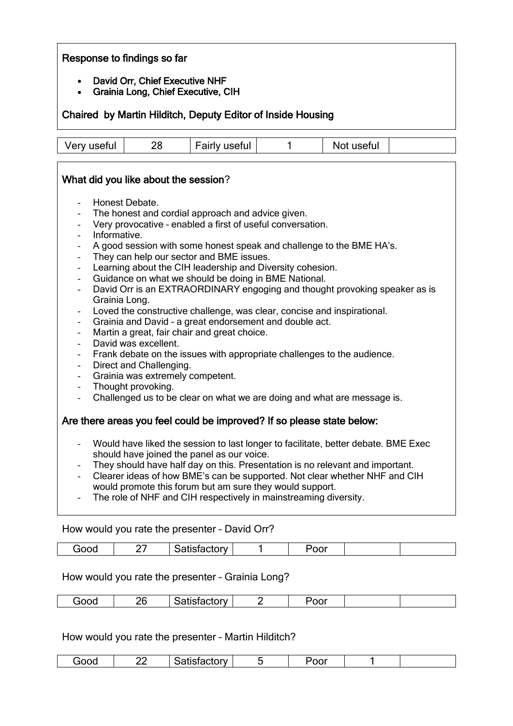#### Response to findings so far

- David Orr, Chief Executive NHF
- Grainia Long, Chief Executive, CIH

Chaired by Martin Hilditch, Deputy Editor of Inside Housing

Very useful 28 Fairly useful 1 Not useful

#### What did you like about the session?

- Honest Debate.
- The honest and cordial approach and advice given.
- Very provocative enabled a first of useful conversation.
- Informative.
- A good session with some honest speak and challenge to the BME HA's.
- They can help our sector and BME issues.
- Learning about the CIH leadership and Diversity cohesion.
- Guidance on what we should be doing in BME National.
- David Orr is an EXTRAORDINARY engoging and thought provoking speaker as is Grainia Long.
- Loved the constructive challenge, was clear, concise and inspirational.
- Grainia and David a great endorsement and double act.
- Martin a great, fair chair and great choice.
- David was excellent.
- Frank debate on the issues with appropriate challenges to the audience.
- Direct and Challenging.
- Grainia was extremely competent.
- Thought provoking.
- Challenged us to be clear on what we are doing and what are message is.

#### Are there areas you feel could be improved? If so please state below:

- Would have liked the session to last longer to facilitate, better debate. BME Exec should have joined the panel as our voice.
- They should have half day on this. Presentation is no relevant and important.
- Clearer ideas of how BME's can be supported. Not clear whether NHF and CIH would promote this forum but am sure they would support.
- The role of NHF and CIH respectively in mainstreaming diversity.

#### How would you rate the presenter – David Orr?

| $- - -$<br>OC. |  | …………<br>M<br>.<br>. |  | -<br>∴י ∪ |  |  |
|----------------|--|---------------------|--|-----------|--|--|
|----------------|--|---------------------|--|-----------|--|--|

#### How would you rate the presenter – Grainia Long?

| ОC | $\overline{\phantom{a}}$<br><br>-- | ---<br>v |  |  |
|----|------------------------------------|----------|--|--|
|    |                                    |          |  |  |

How would you rate the presenter – Martin Hilditch?

| ood | <u>__</u> | `atistactory<br>ושטופ<br>ت ایا<br>. |  | 'oor |  |  |
|-----|-----------|-------------------------------------|--|------|--|--|
|-----|-----------|-------------------------------------|--|------|--|--|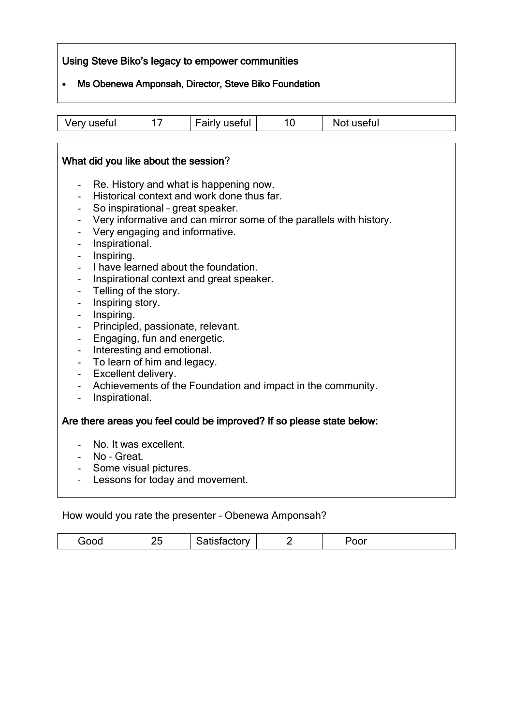#### Using Steve Biko's legacy to empower communities

#### Ms Obenewa Amponsah, Director, Steve Biko Foundation

| Fairly useful<br>Very useful<br>Not useful |
|--------------------------------------------|
|--------------------------------------------|

 $\overline{\phantom{a}}$ 

|                          | What did you like about the session?                                  |
|--------------------------|-----------------------------------------------------------------------|
| $\blacksquare$           | Re. History and what is happening now.                                |
| $\overline{\phantom{a}}$ | Historical context and work done thus far.                            |
|                          | So inspirational - great speaker.                                     |
| $\overline{\phantom{a}}$ | Very informative and can mirror some of the parallels with history.   |
|                          | Very engaging and informative.                                        |
| $\overline{\phantom{a}}$ | Inspirational.                                                        |
|                          | Inspiring.                                                            |
|                          | I have learned about the foundation.                                  |
|                          | Inspirational context and great speaker.                              |
| $\overline{\phantom{0}}$ | Telling of the story.                                                 |
|                          | Inspiring story.                                                      |
|                          | Inspiring.                                                            |
|                          | Principled, passionate, relevant.                                     |
| $\overline{\phantom{a}}$ | Engaging, fun and energetic.                                          |
|                          | Interesting and emotional.                                            |
| $\overline{\phantom{a}}$ | To learn of him and legacy.                                           |
| $\overline{\phantom{a}}$ | Excellent delivery.                                                   |
|                          | Achievements of the Foundation and impact in the community.           |
|                          | Inspirational.                                                        |
|                          | Are there areas you feel could be improved? If so please state below: |
|                          | - No. It was excellent.                                               |
|                          | - No - Great.                                                         |
|                          | - Some visual pictures.                                               |
| $\overline{a}$           | Lessons for today and movement.                                       |
|                          |                                                                       |

#### How would you rate the presenter – Obenewa Amponsah?

| "<br>- -<br>$\overline{\phantom{0}}$<br>$\sim$<br>_ _ _ _ _ _ |
|---------------------------------------------------------------|
|---------------------------------------------------------------|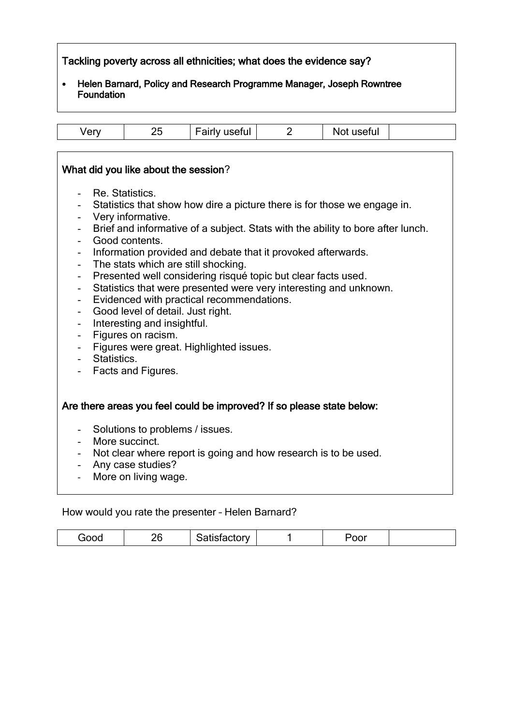#### Tackling poverty across all ethnicities; what does the evidence say?

 Helen Barnard, Policy and Research Programme Manager, Joseph Rowntree **Foundation** 

| Verv | ᄼ<br>∼ | — _<br>. <i>.</i><br>useiui | .<br><b>NULUSEIUI</b> |  |
|------|--------|-----------------------------|-----------------------|--|

#### What did you like about the session?

- Re. Statistics.
- Statistics that show how dire a picture there is for those we engage in.
- Very informative.
- Brief and informative of a subject. Stats with the ability to bore after lunch.
- Good contents.
- Information provided and debate that it provoked afterwards.
- The stats which are still shocking.
- Presented well considering risqué topic but clear facts used.
- Statistics that were presented were very interesting and unknown.
- Evidenced with practical recommendations.
- Good level of detail. Just right.
- Interesting and insightful.
- Figures on racism.
- Figures were great. Highlighted issues.
- Statistics.
- Facts and Figures.

#### Are there areas you feel could be improved? If so please state below:

- Solutions to problems / issues.
- More succinct.
- Not clear where report is going and how research is to be used.
- Any case studies?
- More on living wage.

How would you rate the presenter – Helen Barnard?

| $\cdots$ $\cdots$ | ^`<br>ט נ<br>∼ | - - |  | ິ<br>$  -$ |  |
|-------------------|----------------|-----|--|------------|--|
|-------------------|----------------|-----|--|------------|--|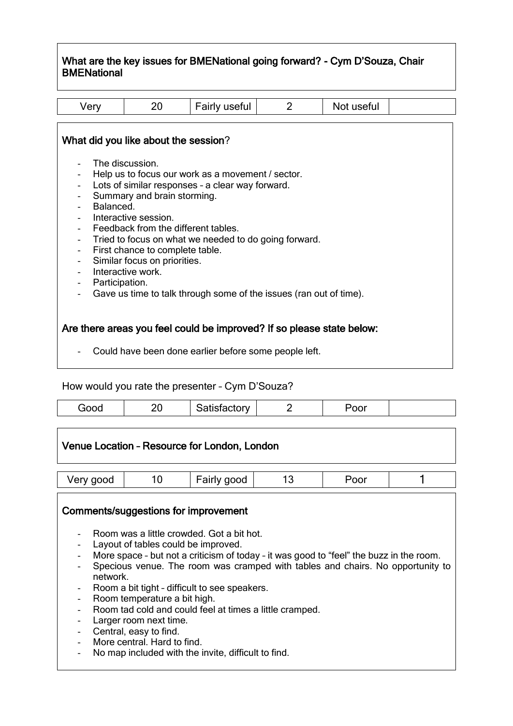#### What are the key issues for BMENational going forward? - Cym D'Souza, Chair **BMENational**

| Very                                       | 20                                                                                                                                                                                                                       | Fairly useful                                                                                                                                                  | $\overline{2}$ | Not useful |  |
|--------------------------------------------|--------------------------------------------------------------------------------------------------------------------------------------------------------------------------------------------------------------------------|----------------------------------------------------------------------------------------------------------------------------------------------------------------|----------------|------------|--|
| Balanced.<br>$\overline{\phantom{0}}$      | What did you like about the session?<br>The discussion.<br>Summary and brain storming.<br>Interactive session.<br>Feedback from the different tables.<br>First chance to complete table.<br>Similar focus on priorities. | Help us to focus our work as a movement / sector.<br>Lots of similar responses - a clear way forward.<br>Tried to focus on what we needed to do going forward. |                |            |  |
| Participation.<br>$\overline{\phantom{0}}$ | Interactive work.                                                                                                                                                                                                        | Gave us time to talk through some of the issues (ran out of time).                                                                                             |                |            |  |
|                                            |                                                                                                                                                                                                                          | Are there areas you feel could be improved? If so please state below:<br>Could have been done earlier before some people left.                                 |                |            |  |

How would you rate the presenter – Cym D'Souza?

| ∼.<br>$ -$<br>– ∪<br>--<br>$\overline{\phantom{0}}$<br>$  -$ |
|--------------------------------------------------------------|
|--------------------------------------------------------------|

| Venue Location - Resource for London, London |                                                                                                                                                                                                                                                                                                                                                     |  |                                                                                                                                                                                                                                      |  |  |  |
|----------------------------------------------|-----------------------------------------------------------------------------------------------------------------------------------------------------------------------------------------------------------------------------------------------------------------------------------------------------------------------------------------------------|--|--------------------------------------------------------------------------------------------------------------------------------------------------------------------------------------------------------------------------------------|--|--|--|
| Very good                                    | 13<br>10<br>Fairly good<br>Poor                                                                                                                                                                                                                                                                                                                     |  |                                                                                                                                                                                                                                      |  |  |  |
| network.<br>$\overline{\phantom{a}}$         | Comments/suggestions for improvement<br>Room was a little crowded. Got a bit hot.<br>Layout of tables could be improved.<br>Room a bit tight - difficult to see speakers.<br>Room temperature a bit high.<br>Larger room next time.<br>Central, easy to find.<br>More central. Hard to find.<br>No map included with the invite, difficult to find. |  | More space - but not a criticism of today - it was good to "feel" the buzz in the room.<br>Specious venue. The room was cramped with tables and chairs. No opportunity to<br>Room tad cold and could feel at times a little cramped. |  |  |  |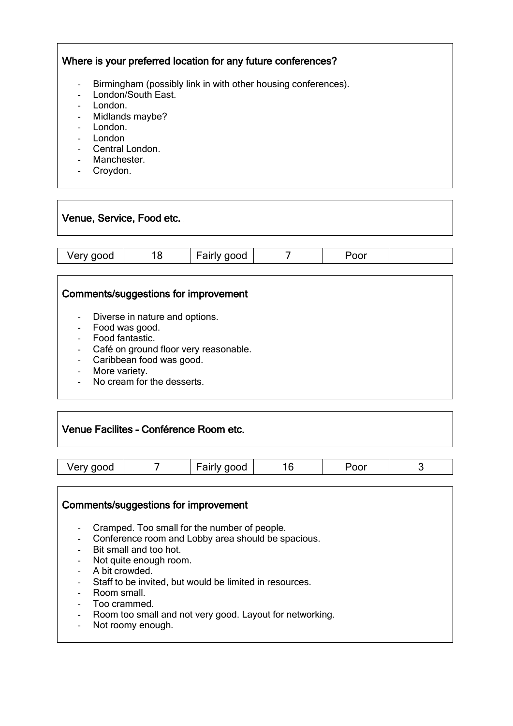#### Where is your preferred location for any future conferences?

- Birmingham (possibly link in with other housing conferences).
- London/South East.
- London.
- Midlands maybe?
- London.
- London
- Central London.
- Manchester.
- Croydon.

# Venue, Service, Food etc.

|  | Verv good<br>$\sim$ | ≻ | - -<br>good<br>∽aırı<br>w |  | 'oor |  |
|--|---------------------|---|---------------------------|--|------|--|
|--|---------------------|---|---------------------------|--|------|--|

#### Comments/suggestions for improvement

- Diverse in nature and options.
- Food was good.
- Food fantastic.
- Café on ground floor very reasonable.
- Caribbean food was good.
- More variety.
- No cream for the desserts.

#### Venue Facilites – Conférence Room etc.

|  | good<br>. .<br>$1 \text{P}$<br>ж<br>υυ<br>- |
|--|---------------------------------------------|
|--|---------------------------------------------|

#### Comments/suggestions for improvement

- Cramped. Too small for the number of people.
- Conference room and Lobby area should be spacious.
- Bit small and too hot.
- Not quite enough room.<br>- A bit crowded.
- A bit crowded.
- Staff to be invited, but would be limited in resources.
- Room small.
- Too crammed.
- Room too small and not very good. Layout for networking.
- Not roomy enough.